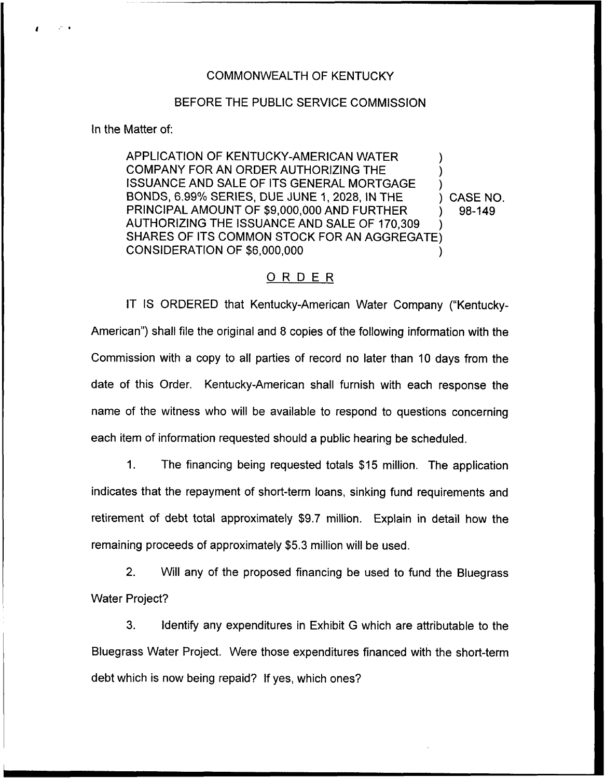## COMMONWEALTH OF KENTUCKY

## BEFORE THE PUBLIC SERVICE COMMISSION

In the Matter of:

APPLICATION OF KENTUCKY-AMERICAN WATER ) COMPANY FOR AN ORDER AUTHORIZING THE ISSUANCE AND SALE OF ITS GENERAL MORTGAGE BONDS, 6.99% SERIES, DUE JUNE 1, 2028, IN THE ) CASE NO.<br>PRINCIPAL AMOUNT OF \$9,000,000 AND FURTHER ) 98-149 PRINCIPAL AMOUNT OF \$9,000,000 AND FURTHER AUTHORIZING THE ISSUANCE AND SALE OF 170,309 SHARES OF ITS COMMON STOCK FOR AN AGGREGATE) CONSIDERATION OF \$6,000,000

## ORDER

IT IS ORDERED that Kentucky-American Water Company ("Kentucky-American") shall file the original and 8 copies of the following information with the Commission with a copy to all parties of record no later than 10 days from the date of this Order. Kentucky-American shall furnish with each response the name of the witness who will be available to respond to questions concerning each item of information requested should a public hearing be scheduled.

1. The financing being requested totals \$15 million. The application indicates that the repayment of short-term loans, sinking fund requirements and retirement of debt total approximately \$9.7 million. Explain in detail how the remaining proceeds of approximately \$5.3 million will be used.

2. Will any of the proposed financing be used to fund the Bluegrass Water Project?

3. Identify any expenditures in Exhibit G which are attributable to the Bluegrass Water Project. Were those expenditures financed with the short-term debt which is now being repaid? If yes, which ones?